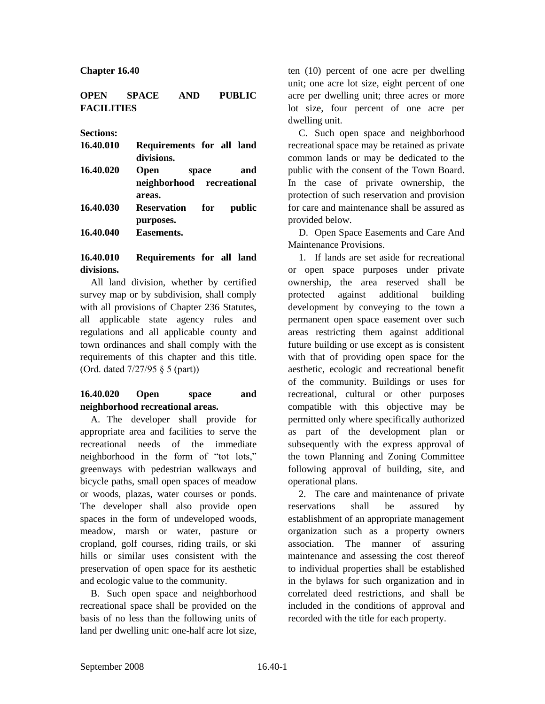#### **Chapter 16.40**

#### **OPEN SPACE AND PUBLIC FACILITIES**

**Sections:**

| 16.40.010 | Requirements for all land<br>divisions. |     |
|-----------|-----------------------------------------|-----|
| 16.40.020 | <b>Open</b><br>space                    | and |
|           | neighborhood recreational               |     |
|           | areas.                                  |     |
| 16.40.030 | <b>Reservation</b> for<br>public        |     |
|           | purposes.                               |     |
| 16.40.040 | Easements.                              |     |

## **16.40.010 Requirements for all land divisions.**

All land division, whether by certified survey map or by subdivision, shall comply with all provisions of Chapter 236 Statutes, all applicable state agency rules and regulations and all applicable county and town ordinances and shall comply with the requirements of this chapter and this title. (Ord. dated 7/27/95 § 5 (part))

## **16.40.020 Open space and neighborhood recreational areas.**

A. The developer shall provide for appropriate area and facilities to serve the recreational needs of the immediate neighborhood in the form of "tot lots," greenways with pedestrian walkways and bicycle paths, small open spaces of meadow or woods, plazas, water courses or ponds. The developer shall also provide open spaces in the form of undeveloped woods, meadow, marsh or water, pasture or cropland, golf courses, riding trails, or ski hills or similar uses consistent with the preservation of open space for its aesthetic and ecologic value to the community.

B. Such open space and neighborhood recreational space shall be provided on the basis of no less than the following units of land per dwelling unit: one-half acre lot size,

ten (10) percent of one acre per dwelling unit; one acre lot size, eight percent of one acre per dwelling unit; three acres or more lot size, four percent of one acre per dwelling unit.

C. Such open space and neighborhood recreational space may be retained as private common lands or may be dedicated to the public with the consent of the Town Board. In the case of private ownership, the protection of such reservation and provision for care and maintenance shall be assured as provided below.

D. Open Space Easements and Care And Maintenance Provisions.

1. If lands are set aside for recreational or open space purposes under private ownership, the area reserved shall be protected against additional building development by conveying to the town a permanent open space easement over such areas restricting them against additional future building or use except as is consistent with that of providing open space for the aesthetic, ecologic and recreational benefit of the community. Buildings or uses for recreational, cultural or other purposes compatible with this objective may be permitted only where specifically authorized as part of the development plan or subsequently with the express approval of the town Planning and Zoning Committee following approval of building, site, and operational plans.

2. The care and maintenance of private reservations shall be assured by establishment of an appropriate management organization such as a property owners association. The manner of assuring maintenance and assessing the cost thereof to individual properties shall be established in the bylaws for such organization and in correlated deed restrictions, and shall be included in the conditions of approval and recorded with the title for each property.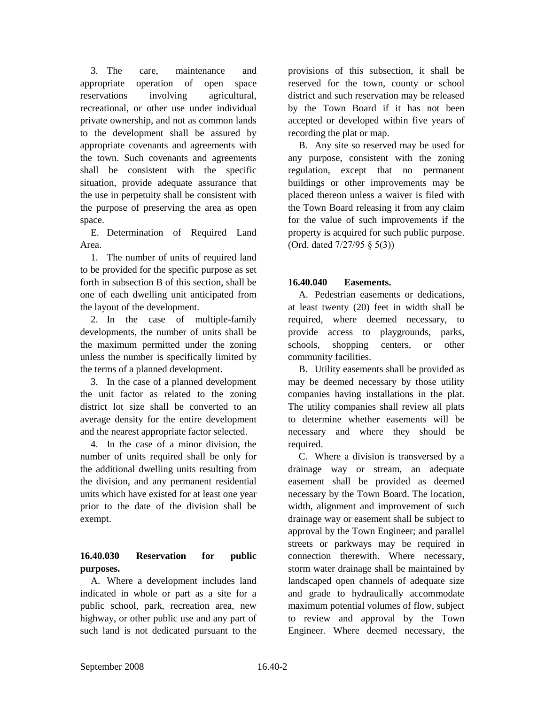3. The care, maintenance and appropriate operation of open space reservations involving agricultural, recreational, or other use under individual private ownership, and not as common lands to the development shall be assured by appropriate covenants and agreements with the town. Such covenants and agreements shall be consistent with the specific situation, provide adequate assurance that the use in perpetuity shall be consistent with the purpose of preserving the area as open space.

E. Determination of Required Land Area.

1. The number of units of required land to be provided for the specific purpose as set forth in subsection B of this section, shall be one of each dwelling unit anticipated from the layout of the development.

2. In the case of multiple-family developments, the number of units shall be the maximum permitted under the zoning unless the number is specifically limited by the terms of a planned development.

3. In the case of a planned development the unit factor as related to the zoning district lot size shall be converted to an average density for the entire development and the nearest appropriate factor selected.

4. In the case of a minor division, the number of units required shall be only for the additional dwelling units resulting from the division, and any permanent residential units which have existed for at least one year prior to the date of the division shall be exempt.

# **16.40.030 Reservation for public purposes.**

A. Where a development includes land indicated in whole or part as a site for a public school, park, recreation area, new highway, or other public use and any part of such land is not dedicated pursuant to the

provisions of this subsection, it shall be reserved for the town, county or school district and such reservation may be released by the Town Board if it has not been accepted or developed within five years of recording the plat or map.

B. Any site so reserved may be used for any purpose, consistent with the zoning regulation, except that no permanent buildings or other improvements may be placed thereon unless a waiver is filed with the Town Board releasing it from any claim for the value of such improvements if the property is acquired for such public purpose. (Ord. dated 7/27/95 § 5(3))

## **16.40.040 Easements.**

A. Pedestrian easements or dedications, at least twenty (20) feet in width shall be required, where deemed necessary, to provide access to playgrounds, parks, schools, shopping centers, or other community facilities.

B. Utility easements shall be provided as may be deemed necessary by those utility companies having installations in the plat. The utility companies shall review all plats to determine whether easements will be necessary and where they should be required.

C. Where a division is transversed by a drainage way or stream, an adequate easement shall be provided as deemed necessary by the Town Board. The location, width, alignment and improvement of such drainage way or easement shall be subject to approval by the Town Engineer; and parallel streets or parkways may be required in connection therewith. Where necessary, storm water drainage shall be maintained by landscaped open channels of adequate size and grade to hydraulically accommodate maximum potential volumes of flow, subject to review and approval by the Town Engineer. Where deemed necessary, the